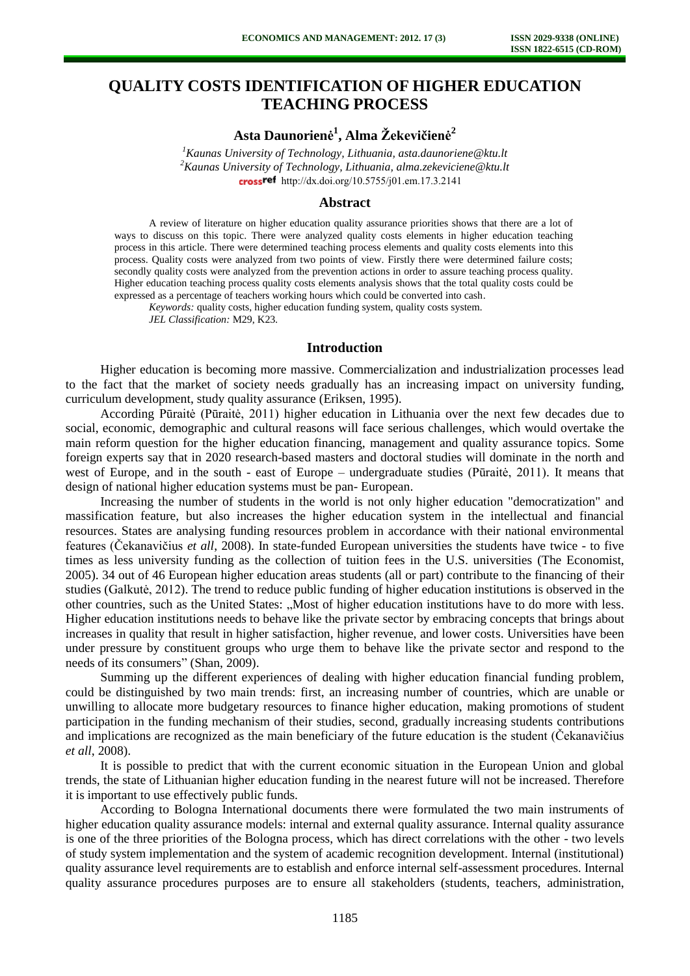# **QUALITY COSTS IDENTIFICATION OF HIGHER EDUCATION TEACHING PROCESS**

**Asta Daunorienė 1 , Alma Žekevičienė<sup>2</sup>**

*<sup>1</sup>Kaunas University of Technology, Lithuania[, asta.daunoriene@ktu.lt](mailto:asta.daunoriene@ktu.lt) <sup>2</sup>Kaunas University of Technology, Lithuania, alma.zekeviciene@ktu.lt* crossref [http://dx.doi.org/10.5755/j01.e](http://dx.doi.org/10.5755/j01.em.17.3.2141)m.17.3.2141

#### **Abstract**

A review of literature on higher education quality assurance priorities shows that there are a lot of ways to discuss on this topic. There were analyzed quality costs elements in higher education teaching process in this article. There were determined teaching process elements and quality costs elements into this process. Quality costs were analyzed from two points of view. Firstly there were determined failure costs; secondly quality costs were analyzed from the prevention actions in order to assure teaching process quality. Higher education teaching process quality costs elements analysis shows that the total quality costs could be expressed as a percentage of teachers working hours which could be converted into cash.

*Keywords:* quality costs, higher education funding system, quality costs system*. JEL Classification:* M29, K23*.* 

#### **Introduction**

Higher education is becoming more massive. Commercialization and industrialization processes lead to the fact that the market of society needs gradually has an increasing impact on university funding, curriculum development, study quality assurance (Eriksen, 1995).

According Pūraitė (Pūraitė, 2011) higher education in Lithuania over the next few decades due to social, economic, demographic and cultural reasons will face serious challenges, which would overtake the main reform question for the higher education financing, management and quality assurance topics. Some foreign experts say that in 2020 research-based masters and doctoral studies will dominate in the north and west of Europe, and in the south - east of Europe – undergraduate studies (Pūraitė, 2011). It means that design of national higher education systems must be pan- European.

Increasing the number of students in the world is not only higher education "democratization" and massification feature, but also increases the higher education system in the intellectual and financial resources. States are analysing funding resources problem in accordance with their national environmental features (Čekanavičius *et all*, 2008). In state-funded European universities the students have twice - to five times as less university funding as the collection of tuition fees in the U.S. universities (The Economist, 2005). 34 out of 46 European higher education areas students (all or part) contribute to the financing of their studies (Galkutė, 2012). The trend to reduce public funding of higher education institutions is observed in the other countries, such as the United States: "Most of higher education institutions have to do more with less. Higher education institutions needs to behave like the private sector by embracing concepts that brings about increases in quality that result in higher satisfaction, higher revenue, and lower costs. Universities have been under pressure by constituent groups who urge them to behave like the private sector and respond to the needs of its consumers" (Shan, 2009).

Summing up the different experiences of dealing with higher education financial funding problem, could be distinguished by two main trends: first, an increasing number of countries, which are unable or unwilling to allocate more budgetary resources to finance higher education, making promotions of student participation in the funding mechanism of their studies, second, gradually increasing students contributions and implications are recognized as the main beneficiary of the future education is the student (Čekanavičius *et all*, 2008).

It is possible to predict that with the current economic situation in the European Union and global trends, the state of Lithuanian higher education funding in the nearest future will not be increased. Therefore it is important to use effectively public funds.

According to Bologna International documents there were formulated the two main instruments of higher education quality assurance models: internal and external quality assurance. Internal quality assurance is one of the three priorities of the Bologna process, which has direct correlations with the other - two levels of study system implementation and the system of academic recognition development. Internal (institutional) quality assurance level requirements are to establish and enforce internal self-assessment procedures. Internal quality assurance procedures purposes are to ensure all stakeholders (students, teachers, administration,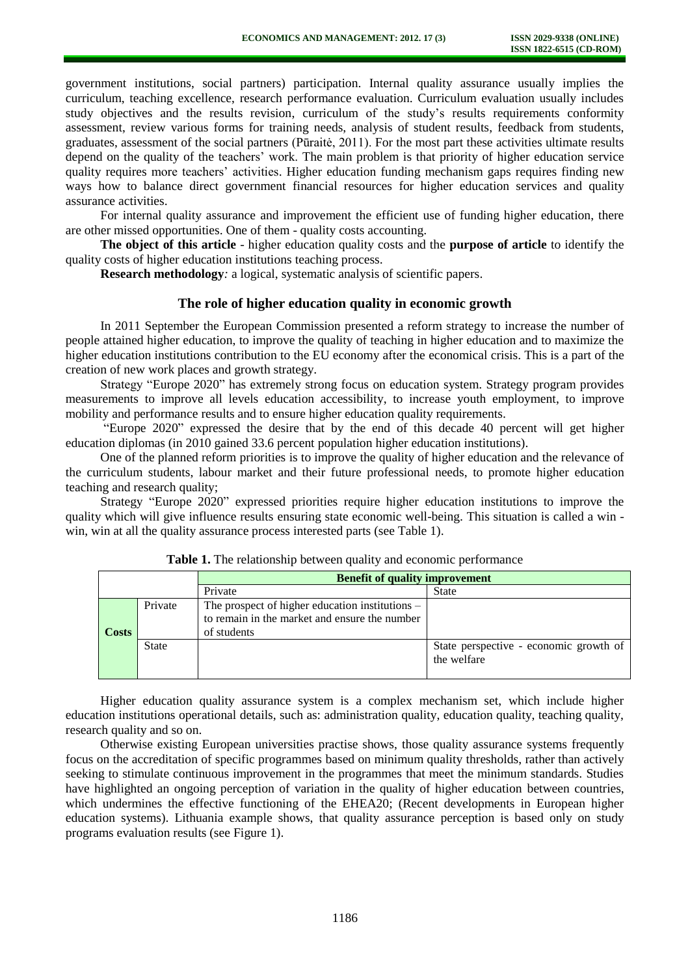government institutions, social partners) participation. Internal quality assurance usually implies the curriculum, teaching excellence, research performance evaluation. Curriculum evaluation usually includes study objectives and the results revision, curriculum of the study's results requirements conformity assessment, review various forms for training needs, analysis of student results, feedback from students, graduates, assessment of the social partners (Pūraitė, 2011). For the most part these activities ultimate results depend on the quality of the teachers' work. The main problem is that priority of higher education service quality requires more teachers' activities. Higher education funding mechanism gaps requires finding new ways how to balance direct government financial resources for higher education services and quality assurance activities.

For internal quality assurance and improvement the efficient use of funding higher education, there are other missed opportunities. One of them - quality costs accounting.

**The object of this article** - higher education quality costs and the **purpose of article** to identify the quality costs of higher education institutions teaching process.

**Research methodology***:* a logical, systematic analysis of scientific papers.

## **The role of higher education quality in economic growth**

In 2011 September the European Commission presented a reform strategy to increase the number of people attained higher education, to improve the quality of teaching in higher education and to maximize the higher education institutions contribution to the EU economy after the economical crisis. This is a part of the creation of new work places and growth strategy.

Strategy "Europe 2020" has extremely strong focus on education system. Strategy program provides measurements to improve all levels education accessibility, to increase youth employment, to improve mobility and performance results and to ensure higher education quality requirements.

"Europe 2020" expressed the desire that by the end of this decade 40 percent will get higher education diplomas (in 2010 gained 33.6 percent population higher education institutions).

One of the planned reform priorities is to improve the quality of higher education and the relevance of the curriculum students, labour market and their future professional needs, to promote higher education teaching and research quality;

Strategy "Europe 2020" expressed priorities require higher education institutions to improve the quality which will give influence results ensuring state economic well-being. This situation is called a win win, win at all the quality assurance process interested parts (see Table 1).

|  |              |              | <b>Benefit of quality improvement</b>                                                                             |                                                       |  |
|--|--------------|--------------|-------------------------------------------------------------------------------------------------------------------|-------------------------------------------------------|--|
|  |              |              | Private                                                                                                           | State                                                 |  |
|  | <b>Costs</b> | Private      | The prospect of higher education institutions $-$<br>to remain in the market and ensure the number<br>of students |                                                       |  |
|  |              | <b>State</b> |                                                                                                                   | State perspective - economic growth of<br>the welfare |  |

**Table 1.** The relationship between quality and economic performance

Higher education quality assurance system is a complex mechanism set, which include higher education institutions operational details, such as: administration quality, education quality, teaching quality, research quality and so on.

Otherwise existing European universities practise shows, those quality assurance systems frequently focus on the accreditation of specific programmes based on minimum quality thresholds, rather than actively seeking to stimulate continuous improvement in the programmes that meet the minimum standards. Studies have highlighted an ongoing perception of variation in the quality of higher education between countries, which undermines the effective functioning of the EHEA20; (Recent developments in European higher education systems). Lithuania example shows, that quality assurance perception is based only on study programs evaluation results (see Figure 1).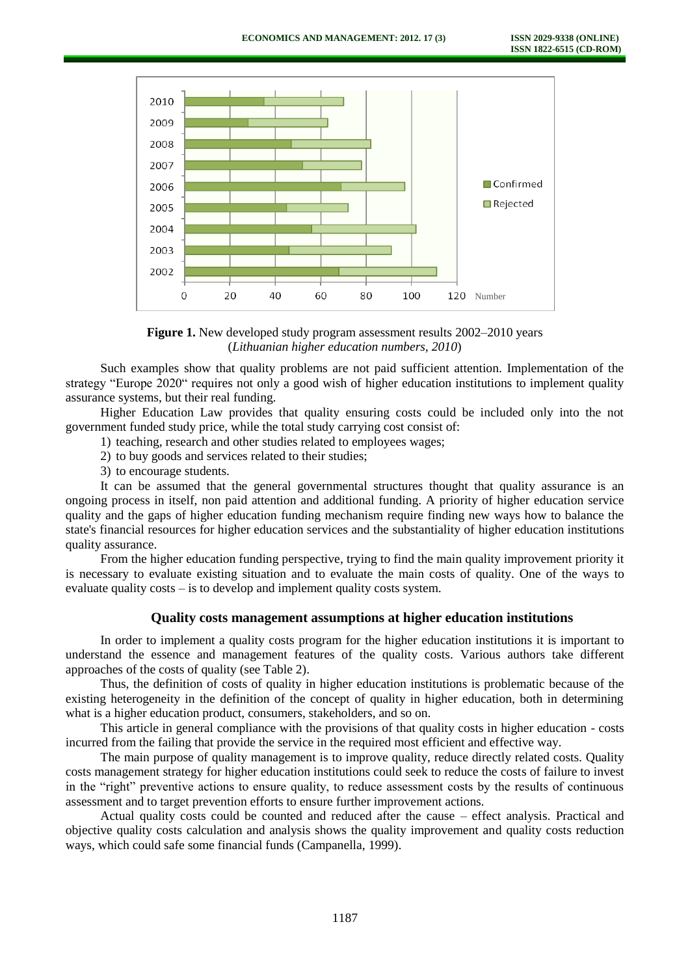

**Figure 1.** New developed study program assessment results 2002–2010 years (*Lithuanian higher education numbers, 2010*)

Such examples show that quality problems are not paid sufficient attention. Implementation of the strategy "Europe 2020" requires not only a good wish of higher education institutions to implement quality assurance systems, but their real funding.

Higher Education Law provides that quality ensuring costs could be included only into the not government funded study price, while the total study carrying cost consist of:

- 1) teaching, research and other studies related to employees wages;
- 2) to buy goods and services related to their studies;
- 3) to encourage students.

It can be assumed that the general governmental structures thought that quality assurance is an ongoing process in itself, non paid attention and additional funding. A priority of higher education service quality and the gaps of higher education funding mechanism require finding new ways how to balance the state's financial resources for higher education services and the substantiality of higher education institutions quality assurance.

From the higher education funding perspective, trying to find the main quality improvement priority it is necessary to evaluate existing situation and to evaluate the main costs of quality. One of the ways to evaluate quality costs – is to develop and implement quality costs system.

### **Quality costs management assumptions at higher education institutions**

In order to implement a quality costs program for the higher education institutions it is important to understand the essence and management features of the quality costs. Various authors take different approaches of the costs of quality (see Table 2).

Thus, the definition of costs of quality in higher education institutions is problematic because of the existing heterogeneity in the definition of the concept of quality in higher education, both in determining what is a higher education product, consumers, stakeholders, and so on.

This article in general compliance with the provisions of that quality costs in higher education - costs incurred from the failing that provide the service in the required most efficient and effective way.

The main purpose of quality management is to improve quality, reduce directly related costs. Quality costs management strategy for higher education institutions could seek to reduce the costs of failure to invest in the "right" preventive actions to ensure quality, to reduce assessment costs by the results of continuous assessment and to target prevention efforts to ensure further improvement actions.

Actual quality costs could be counted and reduced after the cause – effect analysis. Practical and objective quality costs calculation and analysis shows the quality improvement and quality costs reduction ways, which could safe some financial funds (Campanella, 1999).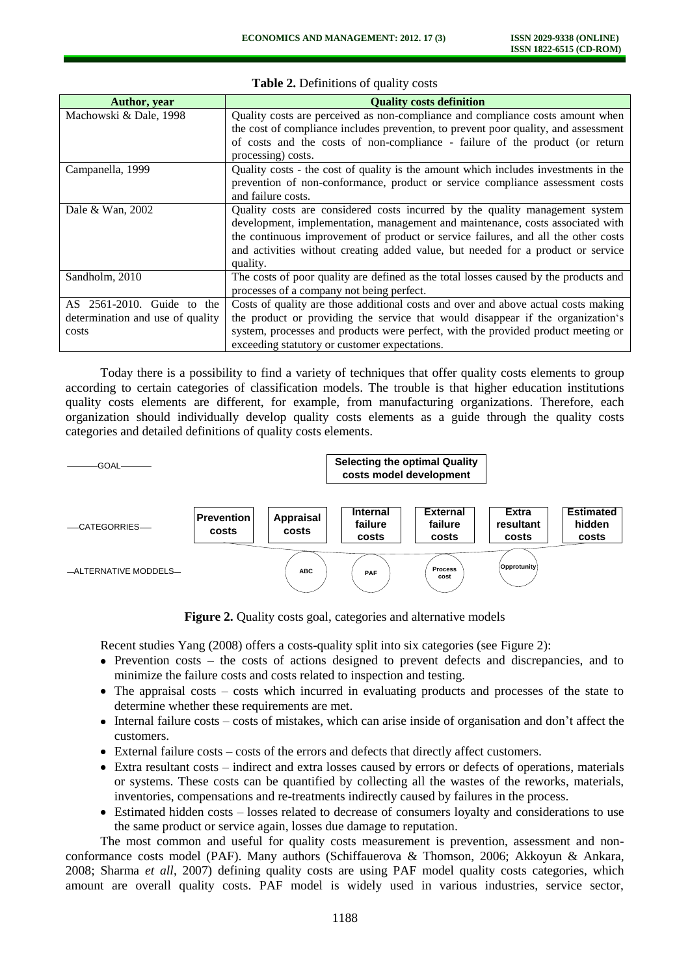| Author, year                     | <b>Quality costs definition</b>                                                      |
|----------------------------------|--------------------------------------------------------------------------------------|
| Machowski & Dale, 1998           | Quality costs are perceived as non-compliance and compliance costs amount when       |
|                                  | the cost of compliance includes prevention, to prevent poor quality, and assessment  |
|                                  | of costs and the costs of non-compliance - failure of the product (or return         |
|                                  | processing) costs.                                                                   |
| Campanella, 1999                 | Quality costs - the cost of quality is the amount which includes investments in the  |
|                                  | prevention of non-conformance, product or service compliance assessment costs        |
|                                  | and failure costs.                                                                   |
| Dale & Wan, 2002                 | Quality costs are considered costs incurred by the quality management system         |
|                                  | development, implementation, management and maintenance, costs associated with       |
|                                  | the continuous improvement of product or service failures, and all the other costs   |
|                                  | and activities without creating added value, but needed for a product or service     |
|                                  | quality.                                                                             |
| Sandholm, 2010                   | The costs of poor quality are defined as the total losses caused by the products and |
|                                  | processes of a company not being perfect.                                            |
| AS 2561-2010. Guide to the       | Costs of quality are those additional costs and over and above actual costs making   |
| determination and use of quality | the product or providing the service that would disappear if the organization's      |
| costs                            | system, processes and products were perfect, with the provided product meeting or    |
|                                  | exceeding statutory or customer expectations.                                        |

**Table 2.** Definitions of quality costs

Today there is a possibility to find a variety of techniques that offer quality costs elements to group according to certain categories of classification models. The trouble is that higher education institutions quality costs elements are different, for example, from manufacturing organizations. Therefore, each organization should individually develop quality costs elements as a guide through the quality costs categories and detailed definitions of quality costs elements.



**Figure 2.** Quality costs goal, categories and alternative models

Recent studies Yang (2008) offers a costs-quality split into six categories (see Figure 2):

- Prevention costs the costs of actions designed to prevent defects and discrepancies, and to minimize the failure costs and costs related to inspection and testing.
- The appraisal costs costs which incurred in evaluating products and processes of the state to determine whether these requirements are met.
- Internal failure costs costs of mistakes, which can arise inside of organisation and don't affect the customers.
- External failure costs costs of the errors and defects that directly affect customers.
- Extra resultant costs indirect and extra losses caused by errors or defects of operations, materials or systems. These costs can be quantified by collecting all the wastes of the reworks, materials, inventories, compensations and re-treatments indirectly caused by failures in the process.
- Estimated hidden costs losses related to decrease of consumers loyalty and considerations to use the same product or service again, losses due damage to reputation.

The most common and useful for quality costs measurement is prevention, assessment and nonconformance costs model (PAF). Many authors (Schiffauerova & Thomson, 2006; Akkoyun & Ankara, 2008; Sharma *et all*, 2007) defining quality costs are using PAF model quality costs categories, which amount are overall quality costs. PAF model is widely used in various industries, service sector,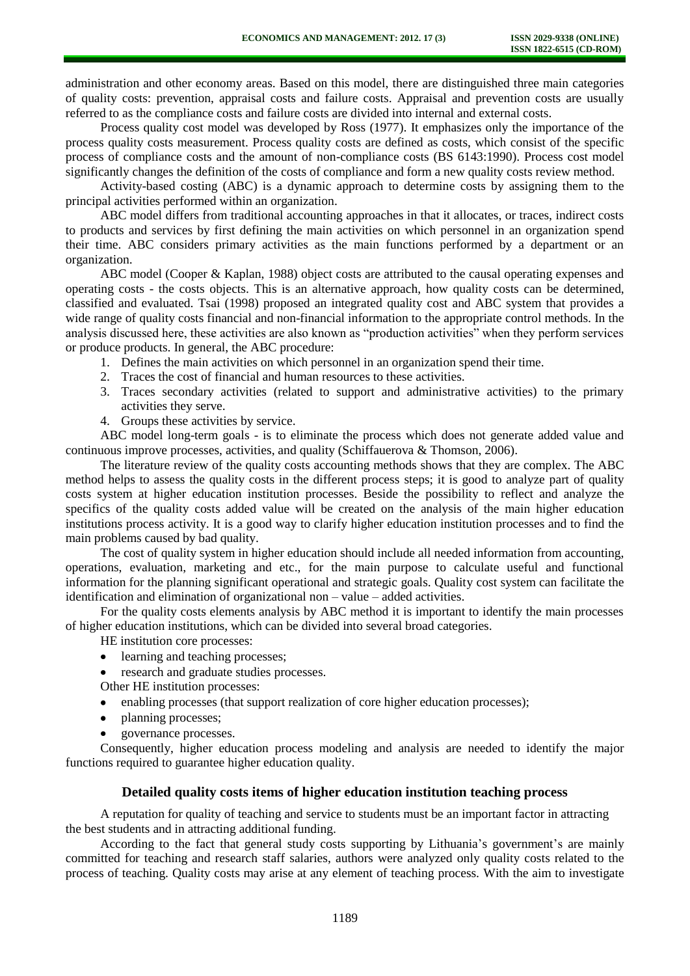administration and other economy areas. Based on this model, there are distinguished three main categories of quality costs: prevention, appraisal costs and failure costs. Appraisal and prevention costs are usually referred to as the compliance costs and failure costs are divided into internal and external costs.

Process quality cost model was developed by Ross (1977). It emphasizes only the importance of the process quality costs measurement. Process quality costs are defined as costs, which consist of the specific process of compliance costs and the amount of non-compliance costs (BS 6143:1990). Process cost model significantly changes the definition of the costs of compliance and form a new quality costs review method.

Activity-based costing (ABC) is a dynamic approach to determine costs by assigning them to the principal activities performed within an organization.

ABC model differs from traditional accounting approaches in that it allocates, or traces, indirect costs to products and services by first defining the main activities on which personnel in an organization spend their time. ABC considers primary activities as the main functions performed by a department or an organization.

ABC model (Cooper & Kaplan, 1988) object costs are attributed to the causal operating expenses and operating costs - the costs objects. This is an alternative approach, how quality costs can be determined, classified and evaluated. Tsai (1998) proposed an integrated quality cost and ABC system that provides a wide range of quality costs financial and non-financial information to the appropriate control methods. In the analysis discussed here, these activities are also known as "production activities" when they perform services or produce products. In general, the ABC procedure:

- 1. Defines the main activities on which personnel in an organization spend their time.
- 2. Traces the cost of financial and human resources to these activities.
- 3. Traces secondary activities (related to support and administrative activities) to the primary activities they serve.
- 4. Groups these activities by service.

ABC model long-term goals - is to eliminate the process which does not generate added value and continuous improve processes, activities, and quality (Schiffauerova & Thomson, 2006).

The literature review of the quality costs accounting methods shows that they are complex. The ABC method helps to assess the quality costs in the different process steps; it is good to analyze part of quality costs system at higher education institution processes. Beside the possibility to reflect and analyze the specifics of the quality costs added value will be created on the analysis of the main higher education institutions process activity. It is a good way to clarify higher education institution processes and to find the main problems caused by bad quality.

The cost of quality system in higher education should include all needed information from accounting, operations, evaluation, marketing and etc., for the main purpose to calculate useful and functional information for the planning significant operational and strategic goals. Quality cost system can facilitate the identification and elimination of organizational non – value – added activities.

For the quality costs elements analysis by ABC method it is important to identify the main processes of higher education institutions, which can be divided into several broad categories.

HE institution core processes:

- learning and teaching processes;  $\bullet$
- research and graduate studies processes.
- Other HE institution processes:
- enabling processes (that support realization of core higher education processes);
- planning processes;
- governance processes.

Consequently, higher education process modeling and analysis are needed to identify the major functions required to guarantee higher education quality.

## **Detailed quality costs items of higher education institution teaching process**

A reputation for quality of teaching and service to students must be an important factor in attracting the best students and in attracting additional funding.

According to the fact that general study costs supporting by Lithuania's government's are mainly committed for teaching and research staff salaries, authors were analyzed only quality costs related to the process of teaching. Quality costs may arise at any element of teaching process. With the aim to investigate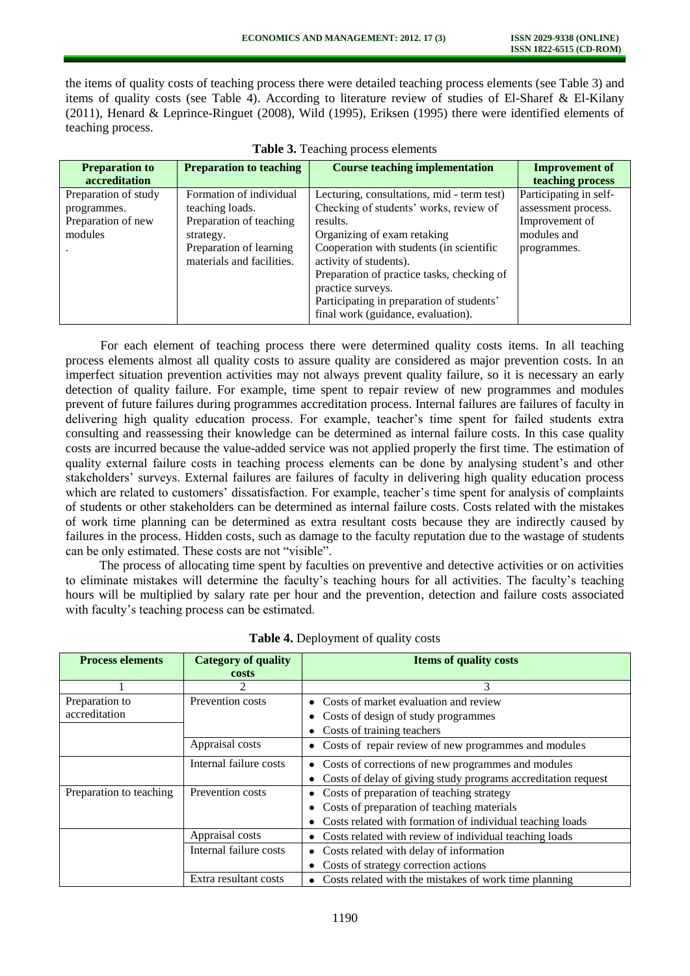the items of quality costs of teaching process there were detailed teaching process elements (see Table 3) and items of quality costs (see Table 4). According to literature review of studies of El-Sharef & El-Kilany (2011), Henard & Leprince-Ringuet (2008), Wild (1995), Eriksen (1995) there were identified elements of teaching process.

| <b>Preparation to</b> | <b>Preparation to teaching</b> | <b>Course teaching implementation</b>      | <b>Improvement of</b>  |
|-----------------------|--------------------------------|--------------------------------------------|------------------------|
| accreditation         |                                |                                            | teaching process       |
| Preparation of study  | Formation of individual        | Lecturing, consultations, mid - term test) | Participating in self- |
| programmes.           | teaching loads.                | Checking of students' works, review of     | assessment process.    |
| Preparation of new    | Preparation of teaching        | results.                                   | Improvement of         |
| modules               | strategy.                      | Organizing of exam retaking                | modules and            |
|                       | Preparation of learning        | Cooperation with students (in scientific   | programmes.            |
|                       | materials and facilities.      | activity of students).                     |                        |
|                       |                                | Preparation of practice tasks, checking of |                        |
|                       |                                | practice surveys.                          |                        |
|                       |                                | Participating in preparation of students'  |                        |
|                       |                                | final work (guidance, evaluation).         |                        |

**Table 3.** Teaching process elements

For each element of teaching process there were determined quality costs items. In all teaching process elements almost all quality costs to assure quality are considered as major prevention costs. In an imperfect situation prevention activities may not always prevent quality failure, so it is necessary an early detection of quality failure. For example, time spent to repair review of new programmes and modules prevent of future failures during programmes accreditation process. Internal failures are failures of faculty in delivering high quality education process. For example, teacher's time spent for failed students extra consulting and reassessing their knowledge can be determined as internal failure costs. In this case quality costs are incurred because the value-added service was not applied properly the first time. The estimation of quality external failure costs in teaching process elements can be done by analysing student's and other stakeholders' surveys. External failures are failures of faculty in delivering high quality education process which are related to customers' dissatisfaction. For example, teacher's time spent for analysis of complaints of students or other stakeholders can be determined as internal failure costs. Costs related with the mistakes of work time planning can be determined as extra resultant costs because they are indirectly caused by failures in the process. Hidden costs, such as damage to the faculty reputation due to the wastage of students can be only estimated. These costs are not "visible".

The process of allocating time spent by faculties on preventive and detective activities or on activities to eliminate mistakes will determine the faculty's teaching hours for all activities. The faculty's teaching hours will be multiplied by salary rate per hour and the prevention, detection and failure costs associated with faculty's teaching process can be estimated.

| <b>Process elements</b> | <b>Category of quality</b> | <b>Items of quality costs</b>                                 |
|-------------------------|----------------------------|---------------------------------------------------------------|
|                         | costs                      |                                                               |
|                         | $\mathcal{L}$              | 3                                                             |
| Preparation to          | Prevention costs           | Costs of market evaluation and review                         |
| accreditation           |                            | Costs of design of study programmes                           |
|                         |                            | Costs of training teachers                                    |
|                         | Appraisal costs            | Costs of repair review of new programmes and modules          |
|                         | Internal failure costs     | Costs of corrections of new programmes and modules            |
|                         |                            | Costs of delay of giving study programs accreditation request |
| Preparation to teaching | Prevention costs           | Costs of preparation of teaching strategy                     |
|                         |                            | Costs of preparation of teaching materials                    |
|                         |                            | Costs related with formation of individual teaching loads     |
|                         | Appraisal costs            | Costs related with review of individual teaching loads        |
|                         | Internal failure costs     | Costs related with delay of information                       |
|                         |                            | Costs of strategy correction actions                          |
|                         | Extra resultant costs      | Costs related with the mistakes of work time planning         |

|  | Table 4. Deployment of quality costs |  |
|--|--------------------------------------|--|
|--|--------------------------------------|--|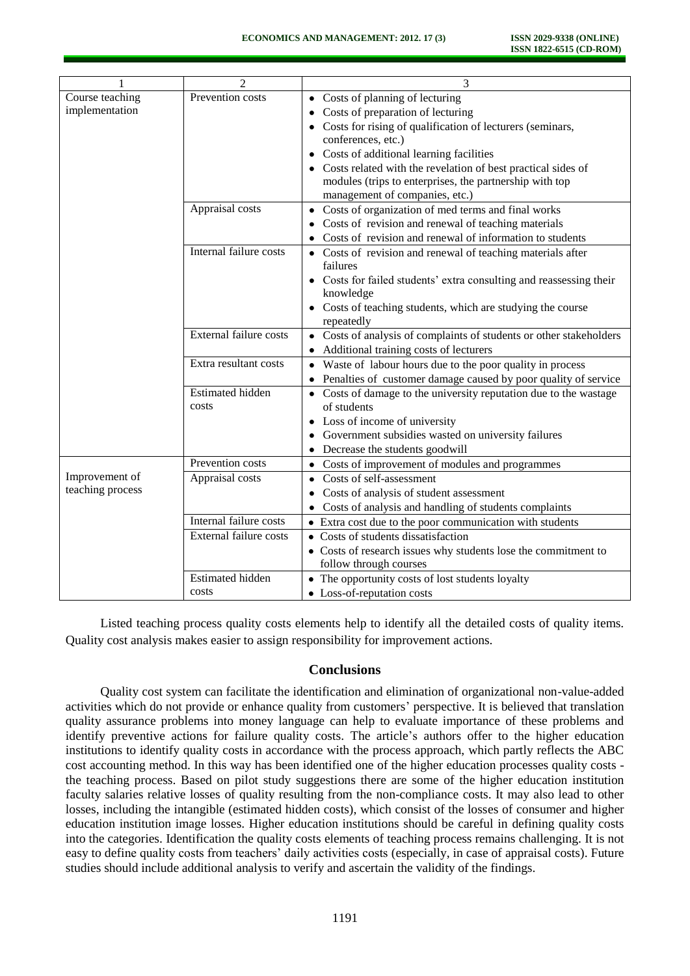| 1                | $\overline{c}$          | 3                                                                       |
|------------------|-------------------------|-------------------------------------------------------------------------|
| Course teaching  | Prevention costs        | Costs of planning of lecturing                                          |
| implementation   |                         | Costs of preparation of lecturing                                       |
|                  |                         | Costs for rising of qualification of lecturers (seminars,               |
|                  |                         | conferences, etc.)                                                      |
|                  |                         | Costs of additional learning facilities                                 |
|                  |                         | Costs related with the revelation of best practical sides of            |
|                  |                         | modules (trips to enterprises, the partnership with top                 |
|                  |                         | management of companies, etc.)                                          |
|                  | Appraisal costs         | • Costs of organization of med terms and final works                    |
|                  |                         | Costs of revision and renewal of teaching materials                     |
|                  |                         | Costs of revision and renewal of information to students                |
|                  | Internal failure costs  | • Costs of revision and renewal of teaching materials after<br>failures |
|                  |                         | Costs for failed students' extra consulting and reassessing their       |
|                  |                         | knowledge                                                               |
|                  |                         | Costs of teaching students, which are studying the course               |
|                  |                         | repeatedly                                                              |
|                  | External failure costs  | • Costs of analysis of complaints of students or other stakeholders     |
|                  |                         | Additional training costs of lecturers                                  |
|                  | Extra resultant costs   | • Waste of labour hours due to the poor quality in process              |
|                  |                         | Penalties of customer damage caused by poor quality of service          |
|                  | <b>Estimated hidden</b> | • Costs of damage to the university reputation due to the wastage       |
|                  | costs                   | of students                                                             |
|                  |                         | Loss of income of university                                            |
|                  |                         | Government subsidies wasted on university failures                      |
|                  |                         | Decrease the students goodwill                                          |
|                  | Prevention costs        | Costs of improvement of modules and programmes<br>٠                     |
| Improvement of   | Appraisal costs         | Costs of self-assessment                                                |
| teaching process |                         | Costs of analysis of student assessment                                 |
|                  |                         | Costs of analysis and handling of students complaints                   |
|                  | Internal failure costs  | • Extra cost due to the poor communication with students                |
|                  | External failure costs  | • Costs of students dissatisfaction                                     |
|                  |                         | • Costs of research issues why students lose the commitment to          |
|                  |                         | follow through courses                                                  |
|                  | <b>Estimated hidden</b> | • The opportunity costs of lost students loyalty                        |
|                  | costs                   | • Loss-of-reputation costs                                              |

Listed teaching process quality costs elements help to identify all the detailed costs of quality items. Quality cost analysis makes easier to assign responsibility for improvement actions.

### **Conclusions**

Quality cost system can facilitate the identification and elimination of organizational non-value-added activities which do not provide or enhance quality from customers' perspective. It is believed that translation quality assurance problems into money language can help to evaluate importance of these problems and identify preventive actions for failure quality costs. The article's authors offer to the higher education institutions to identify quality costs in accordance with the process approach, which partly reflects the ABC cost accounting method. In this way has been identified one of the higher education processes quality costs the teaching process. Based on pilot study suggestions there are some of the higher education institution faculty salaries relative losses of quality resulting from the non-compliance costs. It may also lead to other losses, including the intangible (estimated hidden costs), which consist of the losses of consumer and higher education institution image losses. Higher education institutions should be careful in defining quality costs into the categories. Identification the quality costs elements of teaching process remains challenging. It is not easy to define quality costs from teachers' daily activities costs (especially, in case of appraisal costs). Future studies should include additional analysis to verify and ascertain the validity of the findings.